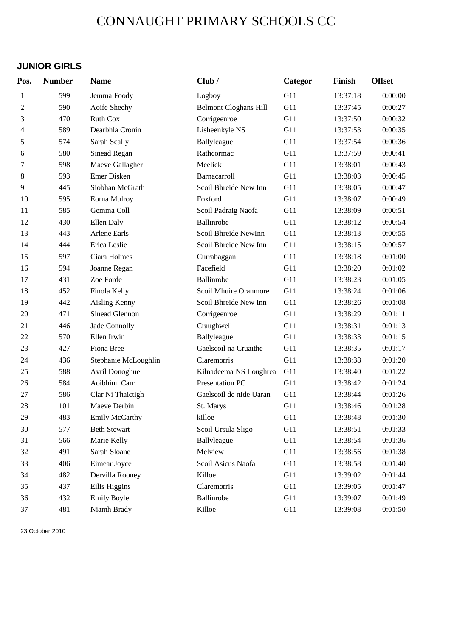## CONNAUGHT PRIMARY SCHOOLS CC

### **JUNIOR GIRLS**

| Pos.           | <b>Number</b> | <b>Name</b>          | Club/                        | Categor | Finish   | <b>Offset</b> |
|----------------|---------------|----------------------|------------------------------|---------|----------|---------------|
| 1              | 599           | Jemma Foody          | Logboy                       | G11     | 13:37:18 | 0:00:00       |
| $\overline{c}$ | 590           | Aoife Sheehy         | <b>Belmont Cloghans Hill</b> | G11     | 13:37:45 | 0:00:27       |
| 3              | 470           | <b>Ruth Cox</b>      | Corrigeenroe                 | G11     | 13:37:50 | 0:00:32       |
| 4              | 589           | Dearbhla Cronin      | Lisheenkyle NS               | G11     | 13:37:53 | 0:00:35       |
| 5              | 574           | Sarah Scally         | Ballyleague                  | G11     | 13:37:54 | 0:00:36       |
| 6              | 580           | Sinead Regan         | Rathcormac                   | G11     | 13:37:59 | 0:00:41       |
| 7              | 598           | Maeve Gallagher      | Meelick                      | G11     | 13:38:01 | 0:00:43       |
| $8\,$          | 593           | Emer Disken          | Barnacarroll                 | G11     | 13:38:03 | 0:00:45       |
| 9              | 445           | Siobhan McGrath      | Scoil Bhreide New Inn        | G11     | 13:38:05 | 0:00:47       |
| 10             | 595           | Eorna Mulroy         | Foxford                      | G11     | 13:38:07 | 0:00:49       |
| 11             | 585           | Gemma Coll           | Scoil Padraig Naofa          | G11     | 13:38:09 | 0:00:51       |
| 12             | 430           | Ellen Daly           | Ballinrobe                   | G11     | 13:38:12 | 0:00:54       |
| 13             | 443           | <b>Arlene Earls</b>  | Scoil Bhreide NewInn         | G11     | 13:38:13 | 0:00:55       |
| 14             | 444           | Erica Leslie         | Scoil Bhreide New Inn        | G11     | 13:38:15 | 0:00:57       |
| 15             | 597           | Ciara Holmes         | Currabaggan                  | G11     | 13:38:18 | 0:01:00       |
| 16             | 594           | Joanne Regan         | Facefield                    | G11     | 13:38:20 | 0:01:02       |
| 17             | 431           | Zoe Forde            | Ballinrobe                   | G11     | 13:38:23 | 0:01:05       |
| 18             | 452           | Finola Kelly         | Scoil Mhuire Oranmore        | G11     | 13:38:24 | 0:01:06       |
| 19             | 442           | Aisling Kenny        | Scoil Bhreide New Inn        | G11     | 13:38:26 | 0:01:08       |
| 20             | 471           | Sinead Glennon       | Corrigeenroe                 | G11     | 13:38:29 | 0:01:11       |
| 21             | 446           | Jade Connolly        | Craughwell                   | G11     | 13:38:31 | 0:01:13       |
| 22             | 570           | Ellen Irwin          | Ballyleague                  | G11     | 13:38:33 | 0:01:15       |
| 23             | 427           | Fiona Bree           | Gaelscoil na Cruaithe        | G11     | 13:38:35 | 0:01:17       |
| 24             | 436           | Stephanie McLoughlin | Claremorris                  | G11     | 13:38:38 | 0:01:20       |
| 25             | 588           | Avril Donoghue       | Kilnadeema NS Loughrea       | G11     | 13:38:40 | 0:01:22       |
| 26             | 584           | Aoibhinn Carr        | Presentation PC              | G11     | 13:38:42 | 0:01:24       |
| 27             | 586           | Clar Ni Thaictigh    | Gaelscoil de nIde Uaran      | G11     | 13:38:44 | 0:01:26       |
| 28             | 101           | Maeve Derbin         | St. Marys                    | G11     | 13:38:46 | 0:01:28       |
| 29             | 483           | Emily McCarthy       | killoe                       | G11     | 13:38:48 | 0:01:30       |
| 30             | 577           | <b>Beth Stewart</b>  | Scoil Ursula Sligo           | G11     | 13:38:51 | 0:01:33       |
| 31             | 566           | Marie Kelly          | Ballyleague                  | G11     | 13:38:54 | 0:01:36       |
| $32\,$         | 491           | Sarah Sloane         | Melview                      | G11     | 13:38:56 | 0:01:38       |
| 33             | 406           | Eimear Joyce         | Scoil Asicus Naofa           | G11     | 13:38:58 | 0:01:40       |
| 34             | 482           | Dervilla Rooney      | Killoe                       | G11     | 13:39:02 | 0:01:44       |
| 35             | 437           | Eilis Higgins        | Claremorris                  | G11     | 13:39:05 | 0:01:47       |
| 36             | 432           | Emily Boyle          | Ballinrobe                   | G11     | 13:39:07 | 0:01:49       |
| 37             | 481           | Niamh Brady          | Killoe                       | G11     | 13:39:08 | 0:01:50       |

23 October 2010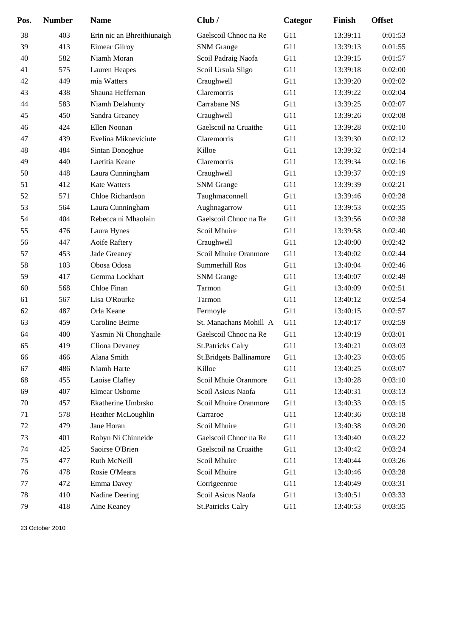| Pos. | <b>Number</b> | <b>Name</b>                | Club/                          | Categor | Finish   | <b>Offset</b> |
|------|---------------|----------------------------|--------------------------------|---------|----------|---------------|
| 38   | 403           | Erin nic an Bhreithiunaigh | Gaelscoil Chnoc na Re          | G11     | 13:39:11 | 0:01:53       |
| 39   | 413           | Eimear Gilroy              | <b>SNM</b> Grange              | G11     | 13:39:13 | 0:01:55       |
| 40   | 582           | Niamh Moran                | Scoil Padraig Naofa            | G11     | 13:39:15 | 0:01:57       |
| 41   | 575           | Lauren Heapes              | Scoil Ursula Sligo             | G11     | 13:39:18 | 0:02:00       |
| 42   | 449           | mia Watters                | Craughwell                     | G11     | 13:39:20 | 0:02:02       |
| 43   | 438           | Shauna Heffernan           | Claremorris                    | G11     | 13:39:22 | 0:02:04       |
| 44   | 583           | Niamh Delahunty            | Carrabane NS                   | G11     | 13:39:25 | 0:02:07       |
| 45   | 450           | Sandra Greaney             | Craughwell                     | G11     | 13:39:26 | 0:02:08       |
| 46   | 424           | Ellen Noonan               | Gaelscoil na Cruaithe          | G11     | 13:39:28 | 0:02:10       |
| 47   | 439           | Evelina Mikneviciute       | Claremorris                    | G11     | 13:39:30 | 0:02:12       |
| 48   | 484           | Sintan Donoghue            | Killoe                         | G11     | 13:39:32 | 0:02:14       |
| 49   | 440           | Laetitia Keane             | Claremorris                    | G11     | 13:39:34 | 0:02:16       |
| 50   | 448           | Laura Cunningham           | Craughwell                     | G11     | 13:39:37 | 0:02:19       |
| 51   | 412           | <b>Kate Watters</b>        | <b>SNM</b> Grange              | G11     | 13:39:39 | 0:02:21       |
| 52   | 571           | Chloe Richardson           | Taughmaconnell                 | G11     | 13:39:46 | 0:02:28       |
| 53   | 564           | Laura Cunningham           | Aughnagarrow                   | G11     | 13:39:53 | 0:02:35       |
| 54   | 404           | Rebecca ni Mhaolain        | Gaelscoil Chnoc na Re          | G11     | 13:39:56 | 0:02:38       |
| 55   | 476           | Laura Hynes                | Scoil Mhuire                   | G11     | 13:39:58 | 0:02:40       |
| 56   | 447           | Aoife Raftery              | Craughwell                     | G11     | 13:40:00 | 0:02:42       |
| 57   | 453           | Jade Greaney               | Scoil Mhuire Oranmore          | G11     | 13:40:02 | 0:02:44       |
| 58   | 103           | Obosa Odosa                | Summerhill Ros                 | G11     | 13:40:04 | 0:02:46       |
| 59   | 417           | Gemma Lockhart             | <b>SNM</b> Grange              | G11     | 13:40:07 | 0:02:49       |
| 60   | 568           | Chloe Finan                | Tarmon                         | G11     | 13:40:09 | 0:02:51       |
| 61   | 567           | Lisa O'Rourke              | Tarmon                         | G11     | 13:40:12 | 0:02:54       |
| 62   | 487           | Orla Keane                 | Fermoyle                       | G11     | 13:40:15 | 0:02:57       |
| 63   | 459           | Caroline Beirne            | St. Manachans Mohill A         | G11     | 13:40:17 | 0:02:59       |
| 64   | 400           | Yasmin Ni Chonghaile       | Gaelscoil Chnoc na Re          | G11     | 13:40:19 | 0:03:01       |
| 65   | 419           | Cliona Devaney             | <b>St.Patricks Calry</b>       | G11     | 13:40:21 | 0:03:03       |
| 66   | 466           | Alana Smith                | <b>St.Bridgets Ballinamore</b> | G11     | 13:40:23 | 0:03:05       |
| 67   | 486           | Niamh Harte                | Killoe                         | G11     | 13:40:25 | 0:03:07       |
| 68   | 455           | Laoise Claffey             | Scoil Mhuie Oranmore           | G11     | 13:40:28 | 0:03:10       |
| 69   | 407           | Eimear Osborne             | Scoil Asicus Naofa             | G11     | 13:40:31 | 0:03:13       |
| 70   | 457           | Ekatherine Umbrsko         | Scoil Mhuire Oranmore          | G11     | 13:40:33 | 0:03:15       |
| 71   | 578           | Heather McLoughlin         | Carraroe                       | G11     | 13:40:36 | 0:03:18       |
| 72   | 479           | Jane Horan                 | Scoil Mhuire                   | G11     | 13:40:38 | 0:03:20       |
| 73   | 401           | Robyn Ni Chinneide         | Gaelscoil Chnoc na Re          | G11     | 13:40:40 | 0:03:22       |
| 74   | 425           | Saoirse O'Brien            | Gaelscoil na Cruaithe          | G11     | 13:40:42 | 0:03:24       |
| 75   | 477           | Ruth McNeill               | Scoil Mhuire                   | G11     | 13:40:44 | 0:03:26       |
| 76   | 478           | Rosie O'Meara              | Scoil Mhuire                   | G11     | 13:40:46 | 0:03:28       |
| 77   | 472           | Emma Davey                 | Corrigeenroe                   | G11     | 13:40:49 | 0:03:31       |
| 78   | 410           | Nadine Deering             | Scoil Asicus Naofa             | G11     | 13:40:51 | 0:03:33       |
| 79   | 418           | Aine Keaney                | <b>St.Patricks Calry</b>       | G11     | 13:40:53 | 0:03:35       |

23 October 2010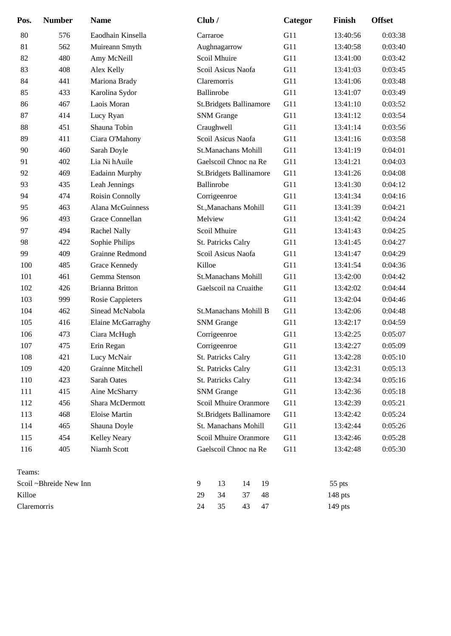| Pos.   | <b>Number</b>          | <b>Name</b>             | Club/                          | Categor | Finish   | <b>Offset</b> |
|--------|------------------------|-------------------------|--------------------------------|---------|----------|---------------|
| 80     | 576                    | Eaodhain Kinsella       | Carraroe                       | G11     | 13:40:56 | 0:03:38       |
| 81     | 562                    | Muireann Smyth          | Aughnagarrow                   | G11     | 13:40:58 | 0:03:40       |
| 82     | 480                    | Amy McNeill             | Scoil Mhuire                   | G11     | 13:41:00 | 0:03:42       |
| 83     | 408                    | Alex Kelly              | Scoil Asicus Naofa             | G11     | 13:41:03 | 0:03:45       |
| 84     | 441                    | Mariona Brady           | Claremorris                    | G11     | 13:41:06 | 0:03:48       |
| 85     | 433                    | Karolina Sydor          | Ballinrobe                     | G11     | 13:41:07 | 0:03:49       |
| 86     | 467                    | Laois Moran             | <b>St.Bridgets Ballinamore</b> | G11     | 13:41:10 | 0:03:52       |
| 87     | 414                    | Lucy Ryan               | <b>SNM</b> Grange              | G11     | 13:41:12 | 0:03:54       |
| 88     | 451                    | Shauna Tobin            | Craughwell                     | G11     | 13:41:14 | 0:03:56       |
| 89     | 411                    | Ciara O'Mahony          | Scoil Asicus Naofa             | G11     | 13:41:16 | 0:03:58       |
| 90     | 460                    | Sarah Doyle             | St.Manachans Mohill            | G11     | 13:41:19 | 0:04:01       |
| 91     | 402                    | Lia Ni hAuile           | Gaelscoil Chnoc na Re          | G11     | 13:41:21 | 0:04:03       |
| 92     | 469                    | Eadainn Murphy          | <b>St.Bridgets Ballinamore</b> | G11     | 13:41:26 | 0:04:08       |
| 93     | 435                    | Leah Jennings           | Ballinrobe                     | G11     | 13:41:30 | 0:04:12       |
| 94     | 474                    | Roisin Connolly         | Corrigeenroe                   | G11     | 13:41:34 | 0:04:16       |
| 95     | 463                    | Alana McGuinness        | St., Manachans Mohill          | G11     | 13:41:39 | 0:04:21       |
| 96     | 493                    | Grace Connellan         | Melview                        | G11     | 13:41:42 | 0:04:24       |
| 97     | 494                    | Rachel Nally            | Scoil Mhuire                   | G11     | 13:41:43 | 0:04:25       |
| 98     | 422                    | Sophie Philips          | St. Patricks Calry             | G11     | 13:41:45 | 0:04:27       |
| 99     | 409                    | Grainne Redmond         | Scoil Asicus Naofa             | G11     | 13:41:47 | 0:04:29       |
| 100    | 485                    | Grace Kennedy           | Killoe                         | G11     | 13:41:54 | 0:04:36       |
| 101    | 461                    | Gemma Stenson           | St.Manachans Mohill            | G11     | 13:42:00 | 0:04:42       |
| 102    | 426                    | <b>Brianna Britton</b>  | Gaelscoil na Cruaithe          | G11     | 13:42:02 | 0:04:44       |
| 103    | 999                    | <b>Rosie Cappieters</b> |                                | G11     | 13:42:04 | 0:04:46       |
| 104    | 462                    | Sinead McNabola         | <b>St.Manachans Mohill B</b>   | G11     | 13:42:06 | 0:04:48       |
| 105    | 416                    | Elaine McGarraghy       | <b>SNM</b> Grange              | G11     | 13:42:17 | 0:04:59       |
| 106    | 473                    | Ciara McHugh            | Corrigeenroe                   | G11     | 13:42:25 | 0:05:07       |
| 107    | 475                    | Erin Regan              | Corrigeenroe                   | G11     | 13:42:27 | 0:05:09       |
| 108    | 421                    | Lucy McNair             | <b>St. Patricks Calry</b>      | G11     | 13:42:28 | 0:05:10       |
| 109    | 420                    | Grainne Mitchell        | St. Patricks Calry             | G11     | 13:42:31 | 0:05:13       |
| 110    | 423                    | Sarah Oates             | St. Patricks Calry             | G11     | 13:42:34 | 0:05:16       |
| 111    | 415                    | Aine McSharry           | <b>SNM</b> Grange              | G11     | 13:42:36 | 0:05:18       |
| 112    | 456                    | Shara McDermott         | Scoil Mhuire Oranmore          | G11     | 13:42:39 | 0:05:21       |
| 113    | 468                    | <b>Eloise Martin</b>    | <b>St.Bridgets Ballinamore</b> | G11     | 13:42:42 | 0:05:24       |
| 114    | 465                    | Shauna Doyle            | St. Manachans Mohill           | G11     | 13:42:44 | 0:05:26       |
| 115    | 454                    | <b>Kelley Neary</b>     | Scoil Mhuire Oranmore          | G11     | 13:42:46 | 0:05:28       |
| 116    | 405                    | Niamh Scott             | Gaelscoil Chnoc na Re          | G11     | 13:42:48 | 0:05:30       |
| Teams: |                        |                         |                                |         |          |               |
|        | Scoil ~Bhreide New Inn |                         | 9<br>13<br>14<br>19            |         | 55 pts   |               |
| Killoe |                        |                         | 29<br>34<br>37<br>48           |         | 148 pts  |               |

Claremorris 24 35 43 47 149 pts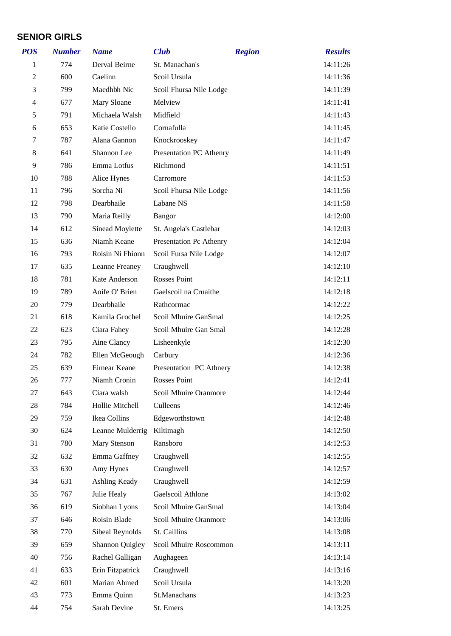#### **SENIOR GIRLS**

| <b>POS</b>     | <b>Number</b> | <b>Name</b>      | <b>Club</b>                  | <b>Region</b> | <b>Results</b> |
|----------------|---------------|------------------|------------------------------|---------------|----------------|
| 1              | 774           | Derval Beirne    | St. Manachan's               |               | 14:11:26       |
| $\overline{2}$ | 600           | Caelinn          | Scoil Ursula                 |               | 14:11:36       |
| 3              | 799           | Maedhbh Nic      | Scoil Fhursa Nile Lodge      |               | 14:11:39       |
| $\overline{4}$ | 677           | Mary Sloane      | Melview                      |               | 14:11:41       |
| 5              | 791           | Michaela Walsh   | Midfield                     |               | 14:11:43       |
| 6              | 653           | Katie Costello   | Cornafulla                   |               | 14:11:45       |
| 7              | 787           | Alana Gannon     | Knockrooskey                 |               | 14:11:47       |
| 8              | 641           | Shannon Lee      | Presentation PC Athenry      |               | 14:11:49       |
| 9              | 786           | Emma Lotfus      | Richmond                     |               | 14:11:51       |
| 10             | 788           | Alice Hynes      | Carromore                    |               | 14:11:53       |
| 11             | 796           | Sorcha Ni        | Scoil Fhursa Nile Lodge      |               | 14:11:56       |
| 12             | 798           | Dearbhaile       | Labane NS                    |               | 14:11:58       |
| 13             | 790           | Maria Reilly     | <b>Bangor</b>                |               | 14:12:00       |
| 14             | 612           | Sinead Moylette  | St. Angela's Castlebar       |               | 14:12:03       |
| 15             | 636           | Niamh Keane      | Presentation Pc Athenry      |               | 14:12:04       |
| 16             | 793           | Roisin Ni Fhionn | Scoil Fursa Nile Lodge       |               | 14:12:07       |
| 17             | 635           | Leanne Freaney   | Craughwell                   |               | 14:12:10       |
| 18             | 781           | Kate Anderson    | Rosses Point                 |               | 14:12:11       |
| 19             | 789           | Aoife O' Brien   | Gaelscoil na Cruaithe        |               | 14:12:18       |
| 20             | 779           | Dearbhaile       | Rathcormac                   |               | 14:12:22       |
| 21             | 618           | Kamila Grochel   | Scoil Mhuire GanSmal         |               | 14:12:25       |
| 22             | 623           | Ciara Fahey      | Scoil Mhuire Gan Smal        |               | 14:12:28       |
| 23             | 795           | Aine Clancy      | Lisheenkyle                  |               | 14:12:30       |
| 24             | 782           | Ellen McGeough   | Carbury                      |               | 14:12:36       |
| 25             | 639           | Eimear Keane     | Presentation PC Athnery      |               | 14:12:38       |
| 26             | 777           | Niamh Cronin     | Rosses Point                 |               | 14:12:41       |
| 27             | 643           | Ciara walsh      | <b>Scoil Mhuire Oranmore</b> |               | 14:12:44       |
| 28             | 784           | Hollie Mitchell  | Culleens                     |               | 14:12:46       |
| 29             | 759           | Ikea Collins     | Edgeworthstown               |               | 14:12:48       |
| 30             | 624           | Leanne Mulderrig | Kiltimagh                    |               | 14:12:50       |
| 31             | 780           | Mary Stenson     | Ransboro                     |               | 14:12:53       |
| 32             | 632           | Emma Gaffney     | Craughwell                   |               | 14:12:55       |
| 33             | 630           | Amy Hynes        | Craughwell                   |               | 14:12:57       |
| 34             | 631           | Ashling Keady    | Craughwell                   |               | 14:12:59       |
| 35             | 767           | Julie Healy      | Gaelscoil Athlone            |               | 14:13:02       |
| 36             | 619           | Siobhan Lyons    | Scoil Mhuire GanSmal         |               | 14:13:04       |
| 37             | 646           | Roisin Blade     | Scoil Mhuire Oranmore        |               | 14:13:06       |
| 38             | 770           | Sibeal Reynolds  | St. Caillins                 |               | 14:13:08       |
| 39             | 659           | Shannon Quigley  | Scoil Mhuire Roscommon       |               | 14:13:11       |
| 40             | 756           | Rachel Galligan  | Aughageen                    |               | 14:13:14       |
| 41             | 633           | Erin Fitzpatrick | Craughwell                   |               | 14:13:16       |
| 42             | 601           | Marian Ahmed     | Scoil Ursula                 |               | 14:13:20       |
| 43             | 773           | Emma Quinn       | St.Manachans                 |               | 14:13:23       |
| 44             | 754           | Sarah Devine     | St. Emers                    |               | 14:13:25       |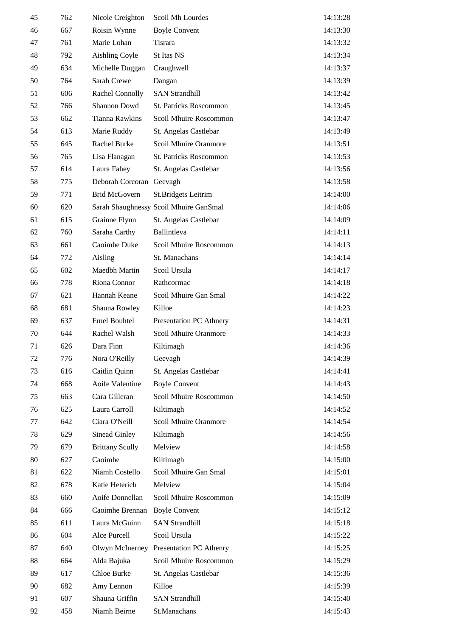| 45 | 762 | Nicole Creighton         | Scoil Mh Lourdes                       | 14:13:28 |
|----|-----|--------------------------|----------------------------------------|----------|
| 46 | 667 | Roisin Wynne             | <b>Boyle Convent</b>                   | 14:13:30 |
| 47 | 761 | Marie Lohan              | <b>Tisrara</b>                         | 14:13:32 |
| 48 | 792 | <b>Aishling Coyle</b>    | St Itas NS                             | 14:13:34 |
| 49 | 634 | Michelle Duggan          | Craughwell                             | 14:13:37 |
| 50 | 764 | Sarah Crewe              | Dangan                                 | 14:13:39 |
| 51 | 606 | Rachel Connolly          | <b>SAN Strandhill</b>                  | 14:13:42 |
| 52 | 766 | Shannon Dowd             | St. Patricks Roscommon                 | 14:13:45 |
| 53 | 662 | <b>Tianna Rawkins</b>    | Scoil Mhuire Roscommon                 | 14:13:47 |
| 54 | 613 | Marie Ruddy              | St. Angelas Castlebar                  | 14:13:49 |
| 55 | 645 | Rachel Burke             | Scoil Mhuire Oranmore                  | 14:13:51 |
| 56 | 765 | Lisa Flanagan            | St. Patricks Roscommon                 | 14:13:53 |
| 57 | 614 | Laura Fahey              | St. Angelas Castlebar                  | 14:13:56 |
| 58 | 775 | Deborah Corcoran Geevagh |                                        | 14:13:58 |
| 59 | 771 | <b>Brid McGovern</b>     | St.Bridgets Leitrim                    | 14:14:00 |
| 60 | 620 |                          | Sarah Shaughnessy Scoil Mhuire GanSmal | 14:14:06 |
| 61 | 615 | Grainne Flynn            | St. Angelas Castlebar                  | 14:14:09 |
| 62 | 760 | Saraha Carthy            | Ballintleva                            | 14:14:11 |
| 63 | 661 | Caoimhe Duke             | Scoil Mhuire Roscommon                 | 14:14:13 |
| 64 | 772 | Aisling                  | St. Manachans                          | 14:14:14 |
| 65 | 602 | Maedbh Martin            | Scoil Ursula                           | 14:14:17 |
| 66 | 778 | Riona Connor             | Rathcormac                             | 14:14:18 |
| 67 | 621 | Hannah Keane             | Scoil Mhuire Gan Smal                  | 14:14:22 |
| 68 | 681 | Shauna Rowley            | Killoe                                 | 14:14:23 |
| 69 | 637 | <b>Emel Bouhtel</b>      | Presentation PC Athnery                | 14:14:31 |
| 70 | 644 | Rachel Walsh             | Scoil Mhuire Oranmore                  | 14:14:33 |
| 71 | 626 | Dara Finn                | Kiltimagh                              | 14:14:36 |
| 72 | 776 | Nora O'Reilly            | Geevagh                                | 14:14:39 |
| 73 | 616 | Caitlin Quinn            | St. Angelas Castlebar                  | 14:14:41 |
| 74 | 668 | Aoife Valentine          | <b>Boyle Convent</b>                   | 14:14:43 |
| 75 | 663 | Cara Gilleran            | Scoil Mhuire Roscommon                 | 14:14:50 |
| 76 | 625 | Laura Carroll            | Kiltimagh                              | 14:14:52 |
| 77 | 642 | Ciara O'Neill            | Scoil Mhuire Oranmore                  | 14:14:54 |
| 78 | 629 | <b>Sinead Ginley</b>     | Kiltimagh                              | 14:14:56 |
| 79 | 679 | <b>Brittany Scully</b>   | Melview                                | 14:14:58 |
| 80 | 627 | Caoimhe                  | Kiltimagh                              | 14:15:00 |
| 81 | 622 | Niamh Costello           | Scoil Mhuire Gan Smal                  | 14:15:01 |
| 82 | 678 | Katie Heterich           | Melview                                | 14:15:04 |
| 83 | 660 | Aoife Donnellan          | Scoil Mhuire Roscommon                 | 14:15:09 |
| 84 | 666 | Caoimhe Brennan          | <b>Boyle Convent</b>                   | 14:15:12 |
| 85 | 611 | Laura McGuinn            | <b>SAN Strandhill</b>                  | 14:15:18 |
| 86 | 604 | Alce Purcell             | Scoil Ursula                           | 14:15:22 |
| 87 | 640 | Olwyn McInerney          | Presentation PC Athenry                | 14:15:25 |
| 88 | 664 | Alda Bajuka              | Scoil Mhuire Roscommon                 | 14:15:29 |
| 89 | 617 | Chloe Burke              | St. Angelas Castlebar                  | 14:15:36 |
| 90 | 682 | Amy Lennon               | Killoe                                 | 14:15:39 |
| 91 | 607 | Shauna Griffin           | <b>SAN Strandhill</b>                  | 14:15:40 |
| 92 | 458 | Niamh Beirne             | St.Manachans                           | 14:15:43 |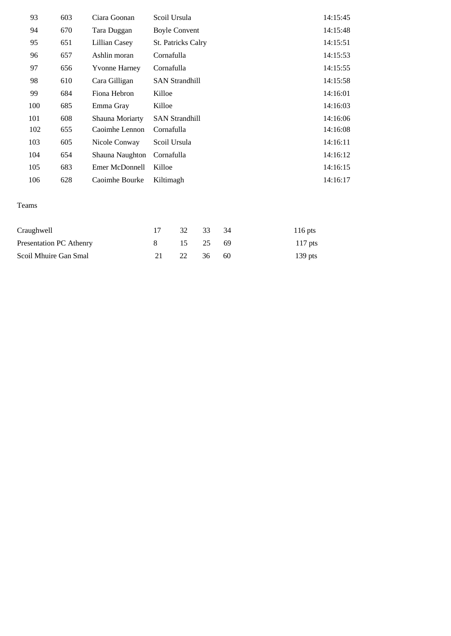| 93  | 603 | Ciara Goonan         | Scoil Ursula              | 14:15:45 |
|-----|-----|----------------------|---------------------------|----------|
| 94  | 670 | Tara Duggan          | <b>Boyle Convent</b>      | 14:15:48 |
| 95  | 651 | Lillian Casey        | <b>St. Patricks Calry</b> | 14:15:51 |
| 96  | 657 | Ashlin moran         | Cornafulla                | 14:15:53 |
| 97  | 656 | <b>Yvonne Harney</b> | Cornafulla                | 14:15:55 |
| 98  | 610 | Cara Gilligan        | <b>SAN Strandhill</b>     | 14:15:58 |
| 99  | 684 | Fiona Hebron         | Killoe                    | 14:16:01 |
| 100 | 685 | Emma Gray            | Killoe                    | 14:16:03 |
| 101 | 608 | Shauna Moriarty      | <b>SAN Strandhill</b>     | 14:16:06 |
| 102 | 655 | Caoimhe Lennon       | Cornafulla                | 14:16:08 |
| 103 | 605 | Nicole Conway        | Scoil Ursula              | 14:16:11 |
| 104 | 654 | Shauna Naughton      | Cornafulla                | 14:16:12 |
| 105 | 683 | Emer McDonnell       | Killoe                    | 14:16:15 |
| 106 | 628 | Caoimhe Bourke       | Kiltimagh                 | 14:16:17 |

#### Teams

| Craughwell              | 17 32 33 34 |  | $116$ pts |
|-------------------------|-------------|--|-----------|
| Presentation PC Athenry | 8 15 25 69  |  | $117$ pts |
| Scoil Mhuire Gan Smal   | 21 22 36 60 |  | 139 pts   |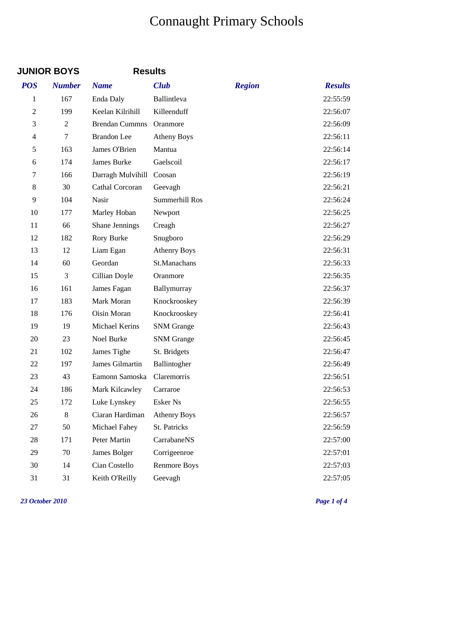# Connaught Primary Schools

|                | <b>JUNIOR BOYS</b> | <b>Results</b>             |                     |               |                |
|----------------|--------------------|----------------------------|---------------------|---------------|----------------|
| <b>POS</b>     | <b>Number</b>      | <b>Name</b>                | <b>Club</b>         | <b>Region</b> | <b>Results</b> |
| 1              | 167                | Enda Daly                  | Ballintleva         |               | 22:55:59       |
| $\overline{2}$ | 199                | Keelan Kilrihill           | Killeenduff         |               | 22:56:07       |
| 3              | $\overline{2}$     | <b>Brendan Cummns</b>      | Oranmore            |               | 22:56:09       |
| $\overline{4}$ | $\tau$             | <b>Brandon</b> Lee         | <b>Atheny Boys</b>  |               | 22:56:11       |
| 5              | 163                | James O'Brien              | Mantua              |               | 22:56:14       |
| 6              | 174                | James Burke                | Gaelscoil           |               | 22:56:17       |
| 7              | 166                | Darragh Mulvihill          | Coosan              |               | 22:56:19       |
| 8              | 30                 | Cathal Corcoran            | Geevagh             |               | 22:56:21       |
| 9              | 104                | Nasir                      | Summerhill Ros      |               | 22:56:24       |
| 10             | 177                | Marley Hoban               | Newport             |               | 22:56:25       |
| 11             | 66                 | Shane Jennings             | Creagh              |               | 22:56:27       |
| 12             | 182                | Rory Burke                 | Snugboro            |               | 22:56:29       |
| 13             | 12                 | Liam Egan                  | <b>Athenry Boys</b> |               | 22:56:31       |
| 14             | 60                 | Geordan                    | St.Manachans        |               | 22:56:33       |
| 15             | 3                  | Cillian Doyle              | Oranmore            |               | 22:56:35       |
| 16             | 161                | James Fagan                | Ballymurray         |               | 22:56:37       |
| 17             | 183                | Mark Moran                 | Knockrooskey        |               | 22:56:39       |
| 18             | 176                | Oisin Moran                | Knockrooskey        |               | 22:56:41       |
| 19             | 19                 | Michael Kerins             | <b>SNM</b> Grange   |               | 22:56:43       |
| 20             | 23                 | Noel Burke                 | <b>SNM</b> Grange   |               | 22:56:45       |
| 21             | 102                | James Tighe                | St. Bridgets        |               | 22:56:47       |
| 22             | 197                | James Gilmartin            | Ballintogher        |               | 22:56:49       |
| 23             | 43                 | Eamonn Samoska Claremorris |                     |               | 22:56:51       |
| 24             | 186                | Mark Kilcawley             | Carraroe            |               | 22:56:53       |
| 25             | 172                | Luke Lynskey               | Esker Ns            |               | 22:56:55       |
| 26             | 8                  | Ciaran Hardiman            | <b>Athenry Boys</b> |               | 22:56:57       |
| 27             | 50                 | Michael Fahey              | St. Patricks        |               | 22:56:59       |
| 28             | 171                | Peter Martin               | CarrabaneNS         |               | 22:57:00       |
| 29             | 70                 | James Bolger               | Corrigeenroe        |               | 22:57:01       |
| 30             | 14                 | Cian Costello              | <b>Renmore Boys</b> |               | 22:57:03       |
| 31             | 31                 | Keith O'Reilly             | Geevagh             |               | 22:57:05       |

*23 October 2010 Page 1 of 4*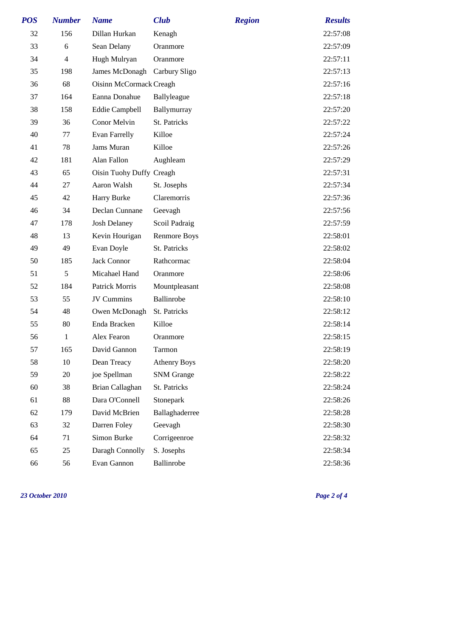| <b>POS</b> | <b>Number</b>  | <b>Name</b>                  | <b>Club</b>         | <b>Region</b> | <b>Results</b> |
|------------|----------------|------------------------------|---------------------|---------------|----------------|
| 32         | 156            | Dillan Hurkan                | Kenagh              |               | 22:57:08       |
| 33         | 6              | Sean Delany                  | Oranmore            |               | 22:57:09       |
| 34         | $\overline{4}$ | Hugh Mulryan                 | Oranmore            |               | 22:57:11       |
| 35         | 198            | James McDonagh Carbury Sligo |                     |               | 22:57:13       |
| 36         | 68             | Oisinn McCormack Creagh      |                     |               | 22:57:16       |
| 37         | 164            | Eanna Donahue                | Ballyleague         |               | 22:57:18       |
| 38         | 158            | <b>Eddie Campbell</b>        | Ballymurray         |               | 22:57:20       |
| 39         | 36             | Conor Melvin                 | St. Patricks        |               | 22:57:22       |
| 40         | 77             | <b>Evan Farrelly</b>         | Killoe              |               | 22:57:24       |
| 41         | 78             | Jams Muran                   | Killoe              |               | 22:57:26       |
| 42         | 181            | Alan Fallon                  | Aughleam            |               | 22:57:29       |
| 43         | 65             | Oisin Tuohy Duffy Creagh     |                     |               | 22:57:31       |
| 44         | 27             | Aaron Walsh                  | St. Josephs         |               | 22:57:34       |
| 45         | 42             | Harry Burke                  | Claremorris         |               | 22:57:36       |
| 46         | 34             | Declan Cunnane               | Geevagh             |               | 22:57:56       |
| 47         | 178            | <b>Josh Delaney</b>          | Scoil Padraig       |               | 22:57:59       |
| 48         | 13             | Kevin Hourigan               | <b>Renmore Boys</b> |               | 22:58:01       |
| 49         | 49             | Evan Doyle                   | St. Patricks        |               | 22:58:02       |
| 50         | 185            | Jack Connor                  | Rathcormac          |               | 22:58:04       |
| 51         | 5              | Micahael Hand                | Oranmore            |               | 22:58:06       |
| 52         | 184            | Patrick Morris               | Mountpleasant       |               | 22:58:08       |
| 53         | 55             | JV Cummins                   | Ballinrobe          |               | 22:58:10       |
| 54         | 48             | Owen McDonagh                | St. Patricks        |               | 22:58:12       |
| 55         | 80             | Enda Bracken                 | Killoe              |               | 22:58:14       |
| 56         | $\mathbf{1}$   | Alex Fearon                  | Oranmore            |               | 22:58:15       |
| 57         | 165            | David Gannon                 | Tarmon              |               | 22:58:19       |
| 58         | 10             | Dean Treacy                  | <b>Athenry Boys</b> |               | 22:58:20       |
| 59         | 20             | joe Spellman                 | <b>SNM</b> Grange   |               | 22:58:22       |
| 60         | 38             | Brian Callaghan              | St. Patricks        |               | 22:58:24       |
| 61         | 88             | Dara O'Connell               | Stonepark           |               | 22:58:26       |
| 62         | 179            | David McBrien                | Ballaghaderree      |               | 22:58:28       |
| 63         | 32             | Darren Foley                 | Geevagh             |               | 22:58:30       |
| 64         | 71             | Simon Burke                  | Corrigeenroe        |               | 22:58:32       |
| 65         | 25             | Daragh Connolly              | S. Josephs          |               | 22:58:34       |
| 66         | 56             | Evan Gannon                  | Ballinrobe          |               | 22:58:36       |

*23 October 2010 Page 2 of 4*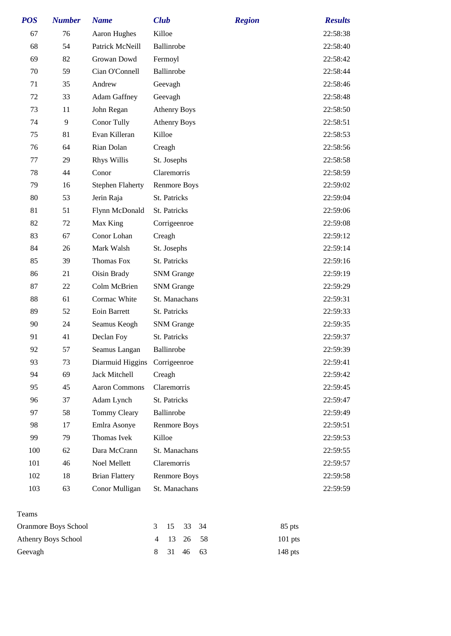| <b>POS</b> | <b>Number</b>              | <b>Name</b>             | <b>Club</b>                                | <b>Region</b> | <b>Results</b> |
|------------|----------------------------|-------------------------|--------------------------------------------|---------------|----------------|
| 67         | 76                         | Aaron Hughes            | Killoe                                     |               | 22:58:38       |
| 68         | 54                         | Patrick McNeill         | Ballinrobe                                 |               | 22:58:40       |
| 69         | 82                         | Growan Dowd             | Fermoyl                                    |               | 22:58:42       |
| 70         | 59                         | Cian O'Connell          | Ballinrobe                                 |               | 22:58:44       |
| 71         | 35                         | Andrew                  | Geevagh                                    |               | 22:58:46       |
| 72         | 33                         | <b>Adam Gaffney</b>     | Geevagh                                    |               | 22:58:48       |
| 73         | 11                         | John Regan              | <b>Athenry Boys</b>                        |               | 22:58:50       |
| 74         | 9                          | <b>Conor Tully</b>      | <b>Athenry Boys</b>                        |               | 22:58:51       |
| 75         | 81                         | Evan Killeran           | Killoe                                     |               | 22:58:53       |
| 76         | 64                         | Rian Dolan              | Creagh                                     |               | 22:58:56       |
| 77         | 29                         | Rhys Willis             | St. Josephs                                |               | 22:58:58       |
| 78         | 44                         | Conor                   | Claremorris                                |               | 22:58:59       |
| 79         | 16                         | <b>Stephen Flaherty</b> | <b>Renmore Boys</b>                        |               | 22:59:02       |
| 80         | 53                         | Jerin Raja              | St. Patricks                               |               | 22:59:04       |
| 81         | 51                         | Flynn McDonald          | St. Patricks                               |               | 22:59:06       |
| 82         | 72                         | Max King                | Corrigeenroe                               |               | 22:59:08       |
| 83         | 67                         | Conor Lohan             | Creagh                                     |               | 22:59:12       |
| 84         | 26                         | Mark Walsh              | St. Josephs                                |               | 22:59:14       |
| 85         | 39                         | Thomas Fox              | St. Patricks                               |               | 22:59:16       |
| 86         | 21                         | Oisin Brady             | <b>SNM</b> Grange                          |               | 22:59:19       |
| 87         | 22                         | Colm McBrien            | <b>SNM</b> Grange                          |               | 22:59:29       |
| 88         | 61                         | Cormac White            | St. Manachans                              |               | 22:59:31       |
| 89         | 52                         | Eoin Barrett            | St. Patricks                               |               | 22:59:33       |
| 90         | 24                         | Seamus Keogh            | <b>SNM</b> Grange                          |               | 22:59:35       |
| 91         | 41                         | Declan Foy              | St. Patricks                               |               | 22:59:37       |
| 92         | 57                         | Seamus Langan           | Ballinrobe                                 |               | 22:59:39       |
| 93         | 73                         | Diarmuid Higgins        | Corrigeenroe                               |               | 22:59:41       |
| 94         | 69                         | Jack Mitchell           | Creagh                                     |               | 22:59:42       |
| 95         | 45                         | <b>Aaron Commons</b>    | Claremorris                                |               | 22:59:45       |
| 96         | 37                         | Adam Lynch              | St. Patricks                               |               | 22:59:47       |
| 97         | 58                         | <b>Tommy Cleary</b>     | Ballinrobe                                 |               | 22:59:49       |
| 98         | 17                         | Emlra Asonye            | Renmore Boys                               |               | 22:59:51       |
| 99         | 79                         | Thomas Ivek             | Killoe                                     |               | 22:59:53       |
| 100        | 62                         | Dara McCrann            | St. Manachans                              |               | 22:59:55       |
| 101        | 46                         | Noel Mellett            | Claremorris                                |               | 22:59:57       |
| 102        | 18                         | <b>Brian Flattery</b>   | <b>Renmore Boys</b>                        |               | 22:59:58       |
| 103        | 63                         | Conor Mulligan          | St. Manachans                              |               | 22:59:59       |
| Teams      |                            |                         |                                            |               |                |
|            | Oranmore Boys School       |                         | 15<br>33<br>34<br>3                        |               | 85 pts         |
|            | <b>Athenry Boys School</b> |                         | 13<br>26<br>58<br>$\overline{\mathcal{A}}$ |               | 101 pts        |

Geevagh 8 31 46 63 148 pts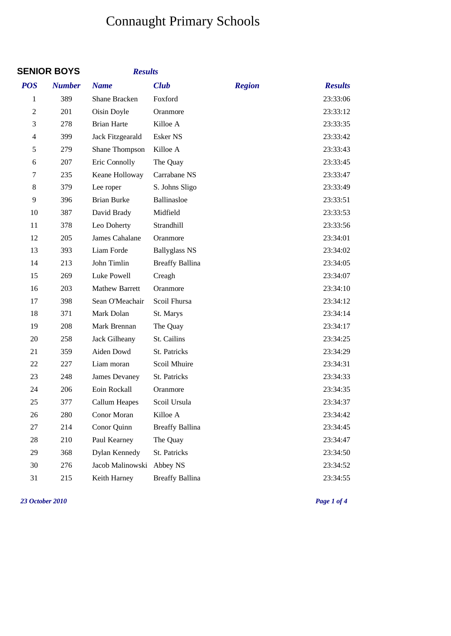# Connaught Primary Schools

|                | <b>SENIOR BOYS</b> | <b>Results</b>        |                        |               |                |
|----------------|--------------------|-----------------------|------------------------|---------------|----------------|
| <b>POS</b>     | <b>Number</b>      | <b>Name</b>           | <b>Club</b>            | <b>Region</b> | <b>Results</b> |
| 1              | 389                | <b>Shane Bracken</b>  | Foxford                |               | 23:33:06       |
| $\overline{2}$ | 201                | Oisin Doyle           | Oranmore               |               | 23:33:12       |
| 3              | 278                | <b>Brian Harte</b>    | Killoe A               |               | 23:33:35       |
| 4              | 399                | Jack Fitzgearald      | Esker NS               |               | 23:33:42       |
| 5              | 279                | Shane Thompson        | Killoe A               |               | 23:33:43       |
| 6              | 207                | Eric Connolly         | The Quay               |               | 23:33:45       |
| 7              | 235                | Keane Holloway        | Carrabane NS           |               | 23:33:47       |
| 8              | 379                | Lee roper             | S. Johns Sligo         |               | 23:33:49       |
| 9              | 396                | <b>Brian Burke</b>    | Ballinasloe            |               | 23:33:51       |
| 10             | 387                | David Brady           | Midfield               |               | 23:33:53       |
| 11             | 378                | Leo Doherty           | Strandhill             |               | 23:33:56       |
| 12             | 205                | James Cahalane        | Oranmore               |               | 23:34:01       |
| 13             | 393                | Liam Forde            | <b>Ballyglass NS</b>   |               | 23:34:02       |
| 14             | 213                | John Timlin           | <b>Breaffy Ballina</b> |               | 23:34:05       |
| 15             | 269                | Luke Powell           | Creagh                 |               | 23:34:07       |
| 16             | 203                | <b>Mathew Barrett</b> | Oranmore               |               | 23:34:10       |
| 17             | 398                | Sean O'Meachair       | Scoil Fhursa           |               | 23:34:12       |
| 18             | 371                | Mark Dolan            | St. Marys              |               | 23:34:14       |
| 19             | 208                | Mark Brennan          | The Quay               |               | 23:34:17       |
| 20             | 258                | Jack Gilheany         | St. Cailins            |               | 23:34:25       |
| 21             | 359                | Aiden Dowd            | St. Patricks           |               | 23:34:29       |
| 22             | 227                | Liam moran            | Scoil Mhuire           |               | 23:34:31       |
| 23             | 248                | James Devaney         | St. Patricks           |               | 23:34:33       |
| 24             | 206                | Eoin Rockall          | Oranmore               |               | 23:34:35       |
| 25             | 377                | <b>Callum Heapes</b>  | Scoil Ursula           |               | 23:34:37       |
| 26             | 280                | Conor Moran           | Killoe A               |               | 23:34:42       |
| 27             | 214                | Conor Quinn           | <b>Breaffy Ballina</b> |               | 23:34:45       |
| 28             | 210                | Paul Kearney          | The Quay               |               | 23:34:47       |
| 29             | 368                | Dylan Kennedy         | St. Patricks           |               | 23:34:50       |
| 30             | 276                | Jacob Malinowski      | Abbey NS               |               | 23:34:52       |
| 31             | 215                | Keith Harney          | <b>Breaffy Ballina</b> |               | 23:34:55       |

*23 October 2010 Page 1 of 4*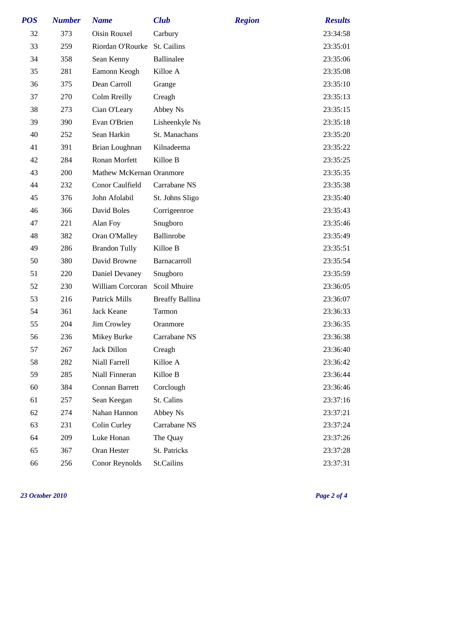| <b>POS</b> | <b>Number</b> | <b>Name</b>                  | <b>Club</b>            | <b>Region</b> | <b>Results</b> |
|------------|---------------|------------------------------|------------------------|---------------|----------------|
| 32         | 373           | Oisin Rouxel                 | Carbury                |               | 23:34:58       |
| 33         | 259           | Riordan O'Rourke St. Cailins |                        |               | 23:35:01       |
| 34         | 358           | Sean Kenny                   | Ballinalee             |               | 23:35:06       |
| 35         | 281           | Eamonn Keogh                 | Killoe A               |               | 23:35:08       |
| 36         | 375           | Dean Carroll                 | Grange                 |               | 23:35:10       |
| 37         | 270           | Colm Rreilly                 | Creagh                 |               | 23:35:13       |
| 38         | 273           | Cian O'Leary                 | Abbey Ns               |               | 23:35:15       |
| 39         | 390           | Evan O'Brien                 | Lisheenkyle Ns         |               | 23:35:18       |
| 40         | 252           | Sean Harkin                  | St. Manachans          |               | 23:35:20       |
| 41         | 391           | Brian Loughnan               | Kilnadeema             |               | 23:35:22       |
| 42         | 284           | Ronan Morfett                | Killoe B               |               | 23:35:25       |
| 43         | 200           | Mathew McKernan Oranmore     |                        |               | 23:35:35       |
| 44         | 232           | Conor Caulfield              | Carrabane NS           |               | 23:35:38       |
| 45         | 376           | John Afolabil                | St. Johns Sligo        |               | 23:35:40       |
| 46         | 366           | David Boles                  | Corrigeenroe           |               | 23:35:43       |
| 47         | 221           | Alan Foy                     | Snugboro               |               | 23:35:46       |
| 48         | 382           | Oran O'Malley                | Ballinrobe             |               | 23:35:49       |
| 49         | 286           | <b>Brandon Tully</b>         | Killoe B               |               | 23:35:51       |
| 50         | 380           | David Browne                 | Barnacarroll           |               | 23:35:54       |
| 51         | 220           | Daniel Devaney               | Snugboro               |               | 23:35:59       |
| 52         | 230           | William Corcoran             | Scoil Mhuire           |               | 23:36:05       |
| 53         | 216           | <b>Patrick Mills</b>         | <b>Breaffy Ballina</b> |               | 23:36:07       |
| 54         | 361           | Jack Keane                   | Tarmon                 |               | 23:36:33       |
| 55         | 204           | Jim Crowley                  | Oranmore               |               | 23:36:35       |
| 56         | 236           | Mikey Burke                  | Carrabane NS           |               | 23:36:38       |
| 57         | 267           | Jack Dillon                  | Creagh                 |               | 23:36:40       |
| 58         | 282           | Niall Farrell                | Killoe A               |               | 23:36:42       |
| 59         | 285           | Niall Finneran               | Killoe B               |               | 23:36:44       |
| 60         | 384           | Connan Barrett               | Corclough              |               | 23:36:46       |
| 61         | 257           | Sean Keegan                  | St. Calins             |               | 23:37:16       |
| 62         | 274           | Nahan Hannon                 | Abbey Ns               |               | 23:37:21       |
| 63         | 231           | Colin Curley                 | Carrabane NS           |               | 23:37:24       |
| 64         | 209           | Luke Honan                   | The Quay               |               | 23:37:26       |
| 65         | 367           | Oran Hester                  | St. Patricks           |               | 23:37:28       |
| 66         | 256           | Conor Reynolds               | St.Cailins             |               | 23:37:31       |

*23 October 2010 Page 2 of 4*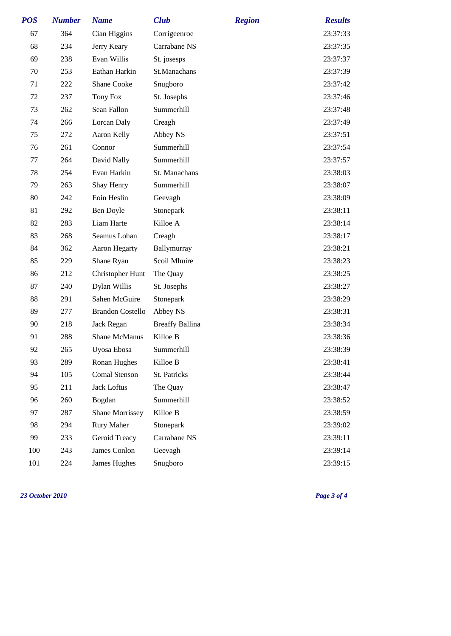| <b>POS</b> | <b>Number</b> | <b>Name</b>             | <b>Club</b>            | <b>Region</b> | <b>Results</b> |
|------------|---------------|-------------------------|------------------------|---------------|----------------|
| 67         | 364           | Cian Higgins            | Corrigeenroe           |               | 23:37:33       |
| 68         | 234           | Jerry Keary             | Carrabane NS           |               | 23:37:35       |
| 69         | 238           | Evan Willis             | St. josesps            |               | 23:37:37       |
| 70         | 253           | Eathan Harkin           | St.Manachans           |               | 23:37:39       |
| 71         | 222           | <b>Shane Cooke</b>      | Snugboro               |               | 23:37:42       |
| 72         | 237           | Tony Fox                | St. Josephs            |               | 23:37:46       |
| 73         | 262           | Sean Fallon             | Summerhill             |               | 23:37:48       |
| 74         | 266           | Lorcan Daly             | Creagh                 |               | 23:37:49       |
| 75         | 272           | Aaron Kelly             | Abbey NS               |               | 23:37:51       |
| 76         | 261           | Connor                  | Summerhill             |               | 23:37:54       |
| 77         | 264           | David Nally             | Summerhill             |               | 23:37:57       |
| 78         | 254           | Evan Harkin             | St. Manachans          |               | 23:38:03       |
| 79         | 263           | Shay Henry              | Summerhill             |               | 23:38:07       |
| 80         | 242           | Eoin Heslin             | Geevagh                |               | 23:38:09       |
| 81         | 292           | Ben Doyle               | Stonepark              |               | 23:38:11       |
| 82         | 283           | Liam Harte              | Killoe A               |               | 23:38:14       |
| 83         | 268           | Seamus Lohan            | Creagh                 |               | 23:38:17       |
| 84         | 362           | <b>Aaron Hegarty</b>    | Ballymurray            |               | 23:38:21       |
| 85         | 229           | Shane Ryan              | Scoil Mhuire           |               | 23:38:23       |
| 86         | 212           | Christopher Hunt        | The Quay               |               | 23:38:25       |
| 87         | 240           | Dylan Willis            | St. Josephs            |               | 23:38:27       |
| 88         | 291           | Sahen McGuire           | Stonepark              |               | 23:38:29       |
| 89         | 277           | <b>Brandon Costello</b> | Abbey NS               |               | 23:38:31       |
| 90         | 218           | Jack Regan              | <b>Breaffy Ballina</b> |               | 23:38:34       |
| 91         | 288           | <b>Shane McManus</b>    | Killoe B               |               | 23:38:36       |
| 92         | 265           | Uyosa Ebosa             | Summerhill             |               | 23:38:39       |
| 93         | 289           | Ronan Hughes            | Killoe B               |               | 23:38:41       |
| 94         | 105           | <b>Comal Stenson</b>    | St. Patricks           |               | 23:38:44       |
| 95         | 211           | <b>Jack Loftus</b>      | The Quay               |               | 23:38:47       |
| 96         | 260           | Bogdan                  | Summerhill             |               | 23:38:52       |
| 97         | 287           | <b>Shane Morrissey</b>  | Killoe B               |               | 23:38:59       |
| 98         | 294           | <b>Rury Maher</b>       | Stonepark              |               | 23:39:02       |
| 99         | 233           | Geroid Treacy           | Carrabane NS           |               | 23:39:11       |
| 100        | 243           | James Conlon            | Geevagh                |               | 23:39:14       |
| 101        | 224           | James Hughes            | Snugboro               |               | 23:39:15       |

*23 October 2010 Page 3 of 4*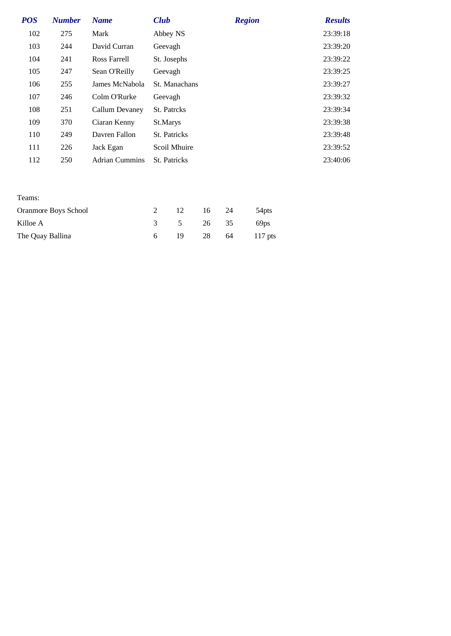| <b>POS</b> | <b>Number</b> | <b>Name</b>           | <b>Club</b>         | <b>Region</b> | <b>Results</b> |
|------------|---------------|-----------------------|---------------------|---------------|----------------|
| 102        | 275           | Mark                  | Abbey NS            |               | 23:39:18       |
| 103        | 244           | David Curran          | Geevagh             |               | 23:39:20       |
| 104        | 241           | Ross Farrell          | St. Josephs         |               | 23:39:22       |
| 105        | 247           | Sean O'Reilly         | Geevagh             |               | 23:39:25       |
| 106        | 255           | James McNabola        | St. Manachans       |               | 23:39:27       |
| 107        | 246           | Colm O'Rurke          | Geevagh             |               | 23:39:32       |
| 108        | 251           | Callum Devaney        | St. Patrcks         |               | 23:39:34       |
| 109        | 370           | Ciaran Kenny          | St.Marys            |               | 23:39:38       |
| 110        | 249           | Davren Fallon         | <b>St. Patricks</b> |               | 23:39:48       |
| 111        | 226           | Jack Egan             | Scoil Mhuire        |               | 23:39:52       |
| 112        | 250           | <b>Adrian Cummins</b> | <b>St.</b> Patricks |               | 23:40:06       |
|            |               |                       |                     |               |                |
|            |               |                       |                     |               |                |
| Teams:     |               |                       |                     |               |                |

| Oranmore Boys School |        | 12 16 24 | 54pts          |
|----------------------|--------|----------|----------------|
| Killoe A             |        |          | 3 5 26 35 69ps |
| The Quay Ballina     | - 19 - |          | 28 64 117 pts  |